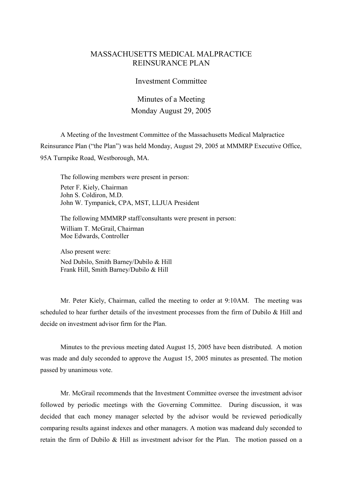## MASSACHUSETTS MEDICAL MALPRACTICE REINSURANCE PLAN

## Investment Committee

## Minutes of a Meeting Monday August 29, 2005

A Meeting of the Investment Committee of the Massachusetts Medical Malpractice Reinsurance Plan ("the Plan") was held Monday, August 29, 2005 at MMMRP Executive Office, 95A Turnpike Road, Westborough, MA.

The following members were present in person: Peter F. Kiely, Chairman John S. Coldiron, M.D. John W. Tympanick, CPA, MST, LLJUA President

The following MMMRP staff/consultants were present in person: William T. McGrail, Chairman Moe Edwards, Controller

Also present were: Ned Dubilo, Smith Barney/Dubilo & Hill Frank Hill, Smith Barney/Dubilo & Hill

Mr. Peter Kiely, Chairman, called the meeting to order at 9:10AM. The meeting was scheduled to hear further details of the investment processes from the firm of Dubilo & Hill and decide on investment advisor firm for the Plan.

Minutes to the previous meeting dated August 15, 2005 have been distributed. A motion was made and duly seconded to approve the August 15, 2005 minutes as presented. The motion passed by unanimous vote.

Mr. McGrail recommends that the Investment Committee oversee the investment advisor followed by periodic meetings with the Governing Committee. During discussion, it was decided that each money manager selected by the advisor would be reviewed periodically comparing results against indexes and other managers. A motion was madeand duly seconded to retain the firm of Dubilo & Hill as investment advisor for the Plan. The motion passed on a